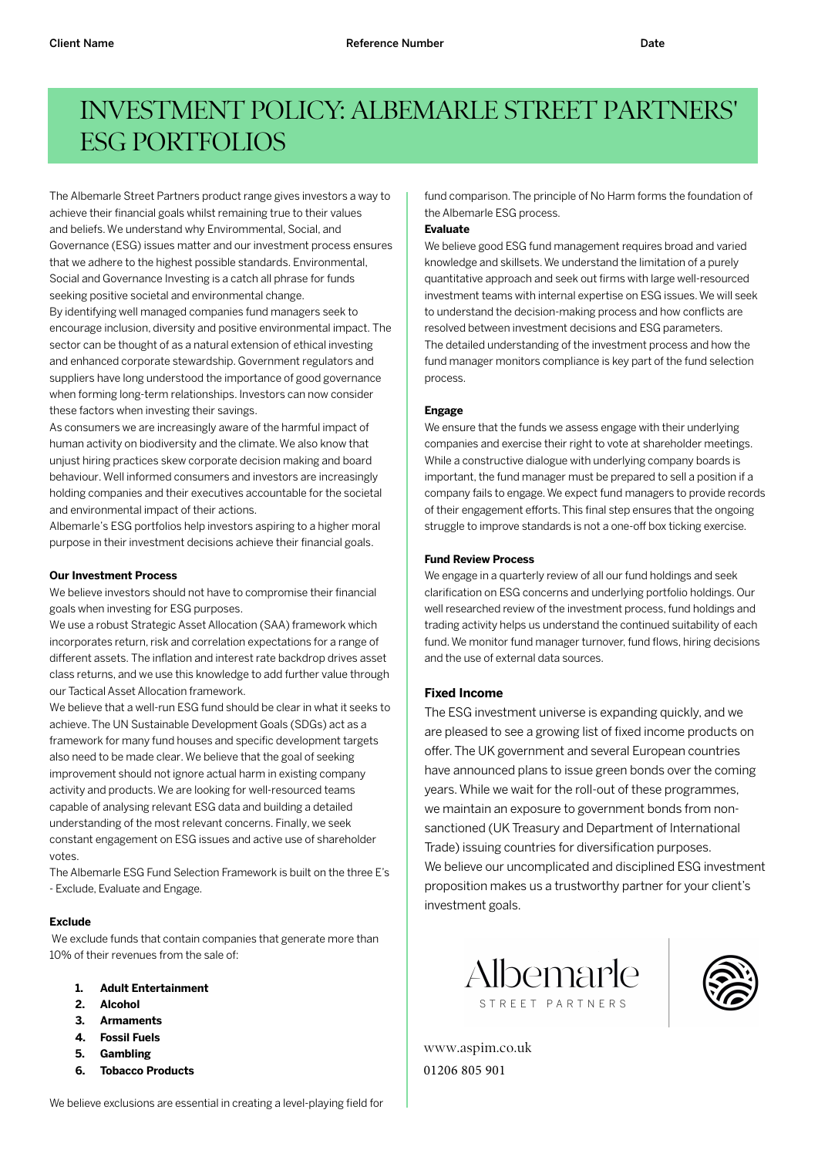# INVESTMENT POLICY: ALBEMARLE STREET PARTNERS' ESG PORTFOLIOS

The Albemarle Street Partners product range gives investors a way to achieve their financial goals whilst remaining true to their values and beliefs.We understand why Envirommental, Social, and Governance (ESG) issues matter and our investment process ensures that we adhere to the highest possible standards. Environmental, Social and Governance Investing is a catch all phrase for funds seeking positive societal and environmental change.

By identifying well managed companies fund managers seek to encourage inclusion, diversity and positive environmental impact. The sector can be thought of as a natural extension of ethical investing and enhanced corporate stewardship. Government regulators and suppliers have long understood the importance of good governance when forming long-term relationships. Investors can now consider these factors when investing their savings.

As consumers we are increasingly aware of the harmful impact of human activity on biodiversity and the climate.We also know that unjust hiring practices skew corporate decision making and board behaviour.Well informed consumers and investors are increasingly holding companies and their executives accountable for the societal and environmental impact of their actions.

Albemarle's ESG portfolios help investors aspiring to a higher moral purpose in their investment decisions achieve their financial goals.

#### **Our Investment Process**

We believe investors should not have to compromise their financial goals when investing for ESG purposes.

We use a robust Strategic Asset Allocation (SAA) framework which incorporates return, risk and correlation expectations for a range of different assets. The inflation and interest rate backdrop drives asset class returns, and we use this knowledge to add further value through our Tactical Asset Allocation framework.

We believe that a well-run ESG fund should be clear in what it seeks to achieve.The UN Sustainable Development Goals (SDGs) act as a framework for many fund houses and specific development targets also need to be made clear.We believe that the goal of seeking improvement should not ignore actual harm in existing company activity and products.We are looking for well-resourced teams capable of analysing relevant ESG data and building a detailed understanding of the most relevant concerns. Finally, we seek constant engagement on ESG issues and active use of shareholder votes.

The Albemarle ESG Fund Selection Framework is built on the three E's - Exclude, Evaluate and Engage.

## **Exclude**

We exclude funds that contain companies that generate more than 10% of their revenues from the sale of:

- **1. Adult Entertainment**
- **2. Alcohol**
- **3. Armaments**
- **4. Fossil Fuels**
- **5. Gambling**
- **6. Tobacco Products**

fund comparison. The principle of No Harm forms the foundation of the Albemarle ESG process.

#### **Evaluate**

We believe good ESG fund management requires broad and varied knowledge and skillsets. We understand the limitation of a purely quantitative approach and seek out firms with large well-resourced investment teams with internal expertise on ESG issues. We will seek to understand the decision-making process and how conflicts are resolved between investment decisions and ESG parameters. The detailed understanding of the investment process and how the fund manager monitors compliance is key part of the fund selection process.

## **Engage**

We ensure that the funds we assess engage with their underlying companies and exercise their right to vote at shareholder meetings. While a constructive dialogue with underlying company boards is important, the fund manager must be prepared to sell a position if a company fails to engage. We expect fund managers to provide records of their engagement efforts. This final step ensures that the ongoing struggle to improve standards is not a one-off box ticking exercise.

#### **Fund Review Process**

We engage in a quarterly review of all our fund holdings and seek clarification on ESG concerns and underlying portfolio holdings. Our well researched review of the investment process, fund holdings and trading activity helps us understand the continued suitability of each fund. We monitor fund manager turnover, fund flows, hiring decisions and the use of external data sources.

## **Fixed Income**

The ESG investment universe is expanding quickly, and we are pleased to see a growing list of fixed income products on offer. The UK government and several European countries have announced plans to issue green bonds over the coming years. While we wait for the roll-out of these programmes, we maintain an exposure to government bonds from nonsanctioned (UK Treasury and Department of International Trade) issuing countries for diversification purposes. We believe our uncomplicated and disciplined ESG investment proposition makes us a trustworthy partner for your client's investment goals.





www.aspim.co.uk 01206 805 901